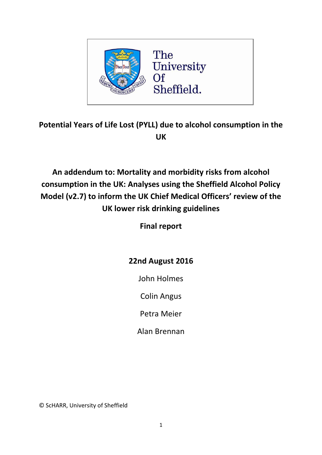

# **Potential Years of Life Lost (PYLL) due to alcohol consumption in the UK**

**An addendum to: Mortality and morbidity risks from alcohol consumption in the UK: Analyses using the Sheffield Alcohol Policy Model (v2.7) to inform the UK Chief Medical Officers' review of the UK lower risk drinking guidelines**

**Final report**

## **22nd August 2016**

John Holmes

Colin Angus

Petra Meier

Alan Brennan

© ScHARR, University of Sheffield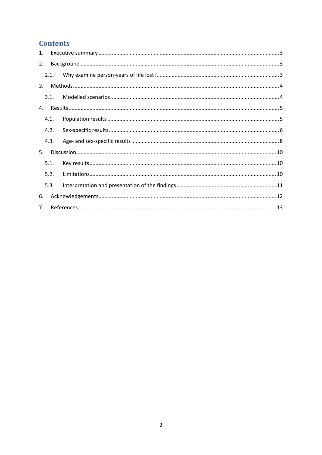## **Contents**

| 1. |                |  |  |  |  |  |  |
|----|----------------|--|--|--|--|--|--|
| 2. |                |  |  |  |  |  |  |
|    | 2.1.           |  |  |  |  |  |  |
| 3. |                |  |  |  |  |  |  |
|    | 3.1.           |  |  |  |  |  |  |
| 4. |                |  |  |  |  |  |  |
|    | 4.1.           |  |  |  |  |  |  |
|    | 4.2.           |  |  |  |  |  |  |
|    | 4.3.           |  |  |  |  |  |  |
| 5. |                |  |  |  |  |  |  |
|    | 5.1.           |  |  |  |  |  |  |
|    | 5.2.           |  |  |  |  |  |  |
|    | 5.3.           |  |  |  |  |  |  |
| 6. |                |  |  |  |  |  |  |
|    | 7 <sub>1</sub> |  |  |  |  |  |  |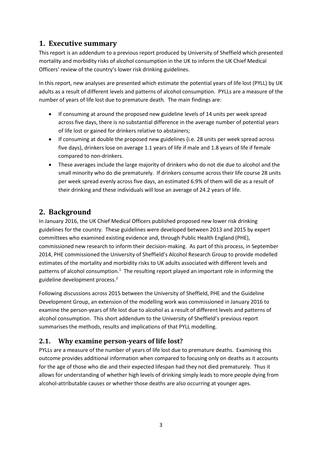### <span id="page-2-0"></span>**1. Executive summary**

This report is an addendum to a previous report produced by University of Sheffield which presented mortality and morbidity risks of alcohol consumption in the UK to inform the UK Chief Medical Officers' review of the country's lower risk drinking guidelines.

In this report, new analyses are presented which estimate the potential years of life lost (PYLL) by UK adults as a result of different levels and patterns of alcohol consumption. PYLLs are a measure of the number of years of life lost due to premature death. The main findings are:

- If consuming at around the proposed new guideline levels of 14 units per week spread across five days, there is no substantial difference in the average number of potential years of life lost or gained for drinkers relative to abstainers;
- If consuming at double the proposed new guidelines (i.e. 28 units per week spread across five days), drinkers lose on average 1.1 years of life if male and 1.8 years of life if female compared to non-drinkers.
- These averages include the large majority of drinkers who do not die due to alcohol and the small minority who do die prematurely. If drinkers consume across their life course 28 units per week spread evenly across five days, an estimated 6.9% of them will die as a result of their drinking and these individuals will lose an average of 24.2 years of life.

### <span id="page-2-1"></span>**2. Background**

In January 2016, the UK Chief Medical Officers published proposed new lower risk drinking guidelines for the country. These guidelines were developed between 2013 and 2015 by expert committees who examined existing evidence and, through Public Health England (PHE), commissioned new research to inform their decision-making. As part of this process, in September 2014, PHE commissioned the University of Sheffield's Alcohol Research Group to provide modelled estimates of the mortality and morbidity risks to UK adults associated with different levels and patterns of alcohol consumption.<sup>1</sup> The resulting report played an important role in informing the guideline development process.<sup>2</sup>

Following discussions across 2015 between the University of Sheffield, PHE and the Guideline Development Group, an extension of the modelling work was commissioned in January 2016 to examine the person-years of life lost due to alcohol as a result of different levels and patterns of alcohol consumption. This short addendum to the University of Sheffield's previous report summarises the methods, results and implications of that PYLL modelling.

### <span id="page-2-2"></span>**2.1. Why examine person-years of life lost?**

PYLLs are a measure of the number of years of life lost due to premature deaths. Examining this outcome provides additional information when compared to focusing only on deaths as it accounts for the age of those who die and their expected lifespan had they not died prematurely. Thus it allows for understanding of whether high levels of drinking simply leads to more people dying from alcohol-attributable causes or whether those deaths are also occurring at younger ages.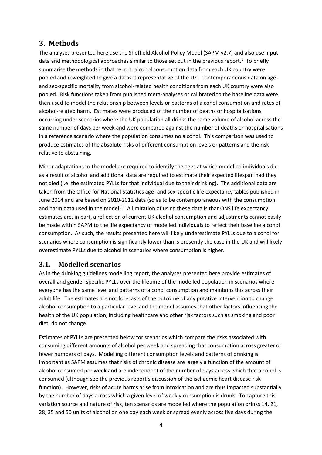### <span id="page-3-0"></span>**3. Methods**

The analyses presented here use the Sheffield Alcohol Policy Model (SAPM v2.7) and also use input data and methodological approaches similar to those set out in the previous report.<sup>1</sup> To briefly summarise the methods in that report: alcohol consumption data from each UK country were pooled and reweighted to give a dataset representative of the UK. Contemporaneous data on ageand sex-specific mortality from alcohol-related health conditions from each UK country were also pooled. Risk functions taken from published meta-analyses or calibrated to the baseline data were then used to model the relationship between levels or patterns of alcohol consumption and rates of alcohol-related harm. Estimates were produced of the number of deaths or hospitalisations occurring under scenarios where the UK population all drinks the same volume of alcohol across the same number of days per week and were compared against the number of deaths or hospitalisations in a reference scenario where the population consumes no alcohol. This comparison was used to produce estimates of the absolute risks of different consumption levels or patterns and the risk relative to abstaining.

Minor adaptations to the model are required to identify the ages at which modelled individuals die as a result of alcohol and additional data are required to estimate their expected lifespan had they not died (i.e. the estimated PYLLs for that individual due to their drinking). The additional data are taken from the Office for National Statistics age- and sex-specific life expectancy tables published in June 2014 and are based on 2010-2012 data (so as to be contemporaneous with the consumption and harm data used in the model). $3$  A limitation of using these data is that ONS life expectancy estimates are, in part, a reflection of current UK alcohol consumption and adjustments cannot easily be made within SAPM to the life expectancy of modelled individuals to reflect their baseline alcohol consumption. As such, the results presented here will likely underestimate PYLLs due to alcohol for scenarios where consumption is significantly lower than is presently the case in the UK and will likely overestimate PYLLs due to alcohol in scenarios where consumption is higher.

#### <span id="page-3-1"></span>**3.1. Modelled scenarios**

As in the drinking guidelines modelling report, the analyses presented here provide estimates of overall and gender-specific PYLLs over the lifetime of the modelled population in scenarios where everyone has the same level and patterns of alcohol consumption and maintains this across their adult life. The estimates are not forecasts of the outcome of any putative intervention to change alcohol consumption to a particular level and the model assumes that other factors influencing the health of the UK population, including healthcare and other risk factors such as smoking and poor diet, do not change.

Estimates of PYLLs are presented below for scenarios which compare the risks associated with consuming different amounts of alcohol per week and spreading that consumption across greater or fewer numbers of days. Modelling different consumption levels and patterns of drinking is important as SAPM assumes that risks of chronic disease are largely a function of the amount of alcohol consumed per week and are independent of the number of days across which that alcohol is consumed (although see the previous report's discussion of the ischaemic heart disease risk function). However, risks of acute harms arise from intoxication and are thus impacted substantially by the number of days across which a given level of weekly consumption is drunk. To capture this variation source and nature of risk, ten scenarios are modelled where the population drinks 14, 21, 28, 35 and 50 units of alcohol on one day each week or spread evenly across five days during the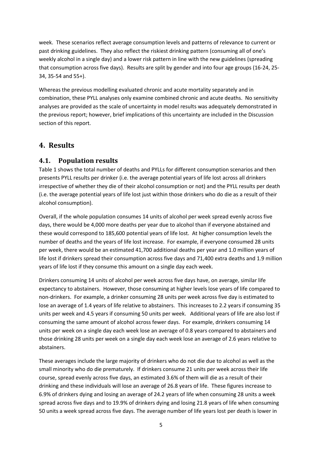week. These scenarios reflect average consumption levels and patterns of relevance to current or past drinking guidelines. They also reflect the riskiest drinking pattern (consuming all of one's weekly alcohol in a single day) and a lower risk pattern in line with the new guidelines (spreading that consumption across five days). Results are split by gender and into four age groups (16-24, 25- 34, 35-54 and 55+).

Whereas the previous modelling evaluated chronic and acute mortality separately and in combination, these PYLL analyses only examine combined chronic and acute deaths. No sensitivity analyses are provided as the scale of uncertainty in model results was adequately demonstrated in the previous report; however, brief implications of this uncertainty are included in the Discussion section of this report.

### <span id="page-4-0"></span>**4. Results**

#### <span id="page-4-1"></span>**4.1. Population results**

[Table 1](#page-5-1) shows the total number of deaths and PYLLs for different consumption scenarios and then presents PYLL results per drinker (i.e. the average potential years of life lost across all drinkers irrespective of whether they die of their alcohol consumption or not) and the PYLL results per death (i.e. the average potential years of life lost just within those drinkers who do die as a result of their alcohol consumption).

Overall, if the whole population consumes 14 units of alcohol per week spread evenly across five days, there would be 4,000 more deaths per year due to alcohol than if everyone abstained and these would correspond to 185,600 potential years of life lost. At higher consumption levels the number of deaths and the years of life lost increase. For example, if everyone consumed 28 units per week, there would be an estimated 41,700 additional deaths per year and 1.0 million years of life lost if drinkers spread their consumption across five days and 71,400 extra deaths and 1.9 million years of life lost if they consume this amount on a single day each week.

Drinkers consuming 14 units of alcohol per week across five days have, on average, similar life expectancy to abstainers. However, those consuming at higher levels lose years of life compared to non-drinkers. For example, a drinker consuming 28 units per week across five day is estimated to lose an average of 1.4 years of life relative to abstainers. This increases to 2.2 years if consuming 35 units per week and 4.5 years if consuming 50 units per week. Additional years of life are also lost if consuming the same amount of alcohol across fewer days. For example, drinkers consuming 14 units per week on a single day each week lose an average of 0.8 years compared to abstainers and those drinking 28 units per week on a single day each week lose an average of 2.6 years relative to abstainers.

These averages include the large majority of drinkers who do not die due to alcohol as well as the small minority who do die prematurely. If drinkers consume 21 units per week across their life course, spread evenly across five days, an estimated 3.6% of them will die as a result of their drinking and these individuals will lose an average of 26.8 years of life. These figures increase to 6.9% of drinkers dying and losing an average of 24.2 years of life when consuming 28 units a week spread across five days and to 19.9% of drinkers dying and losing 21.8 years of life when consuming 50 units a week spread across five days. The average number of life years lost per death is lower in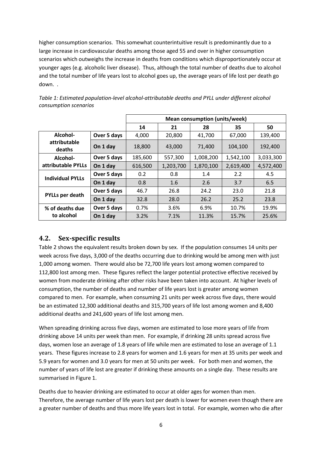higher consumption scenarios. This somewhat counterintuitive result is predominantly due to a large increase in cardiovascular deaths among those aged 55 and over in higher consumption scenarios which outweighs the increase in deaths from conditions which disproportionately occur at younger ages (e.g. alcoholic liver disease). Thus, although the total number of deaths due to alcohol and the total number of life years lost to alcohol goes up, the average years of life lost per death go down. .

|                         |             | Mean consumption (units/week) |           |           |           |           |  |
|-------------------------|-------------|-------------------------------|-----------|-----------|-----------|-----------|--|
|                         |             | 14                            | 21        | 28        | 35        | 50        |  |
| Alcohol-                | Over 5 days | 4,000                         | 20,800    | 41,700    | 67,000    | 139,400   |  |
| attributable<br>deaths  | On 1 day    | 18,800                        | 43,000    | 71.400    | 104.100   | 192,400   |  |
| Alcohol-                | Over 5 days | 185,600                       | 557,300   | 1,008,200 | 1,542,100 | 3,033,300 |  |
| attributable PYLLs      | On 1 day    | 616,500                       | 1,203,700 | 1,870,100 | 2,619,400 | 4,572,400 |  |
| <b>Individual PYLLs</b> | Over 5 days | 0.2                           | 0.8       | 1.4       | 2.2       | 4.5       |  |
|                         | On 1 day    | 0.8                           | 1.6       | 2.6       | 3.7       | 6.5       |  |
|                         | Over 5 days | 46.7                          | 26.8      | 24.2      | 23.0      | 21.8      |  |
| <b>PYLLs per death</b>  | On 1 day    | 32.8                          | 28.0      | 26.2      | 25.2      | 23.8      |  |
| % of deaths due         | Over 5 days | 0.7%                          | 3.6%      | 6.9%      | 10.7%     | 19.9%     |  |
| to alcohol              | On 1 day    | 3.2%                          | 7.1%      | 11.3%     | 15.7%     | 25.6%     |  |

<span id="page-5-1"></span>*Table 1: Estimated population-level alcohol-attributable deaths and PYLL under different alcohol consumption scenarios*

#### <span id="page-5-0"></span>**4.2. Sex-specific results**

[Table 2](#page-6-0) shows the equivalent results broken down by sex. If the population consumes 14 units per week across five days, 3,000 of the deaths occurring due to drinking would be among men with just 1,000 among women. There would also be 72,700 life years lost among women compared to 112,800 lost among men. These figures reflect the larger potential protective effective received by women from moderate drinking after other risks have been taken into account. At higher levels of consumption, the number of deaths and number of life years lost is greater among women compared to men. For example, when consuming 21 units per week across five days, there would be an estimated 12,300 additional deaths and 315,700 years of life lost among women and 8,400 additional deaths and 241,600 years of life lost among men.

When spreading drinking across five days, women are estimated to lose more years of life from drinking above 14 units per week than men. For example, if drinking 28 units spread across five days, women lose an average of 1.8 years of life while men are estimated to lose an average of 1.1 years. These figures increase to 2.8 years for women and 1.6 years for men at 35 units per week and 5.9 years for women and 3.0 years for men at 50 units per week. For both men and women, the number of years of life lost are greater if drinking these amounts on a single day. These results are summarised in [Figure 1.](#page-7-1)

Deaths due to heavier drinking are estimated to occur at older ages for women than men. Therefore, the average number of life years lost per death is lower for women even though there are a greater number of deaths and thus more life years lost in total. For example, women who die after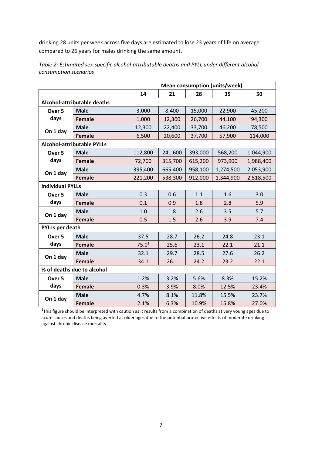drinking 28 units per week across five days are estimated to lose 23 years of life on average compared to 26 years for males drinking the same amount.

|                             |                                   | <b>Mean consumption (units/week)</b> |         |         |           |           |  |  |
|-----------------------------|-----------------------------------|--------------------------------------|---------|---------|-----------|-----------|--|--|
|                             |                                   | 14                                   | 21      | 28      | 35        | 50        |  |  |
| Alcohol-attributable deaths |                                   |                                      |         |         |           |           |  |  |
| Over <sub>5</sub>           | <b>Male</b>                       | 3,000                                | 8,400   | 15,000  | 22,900    | 45,200    |  |  |
| days                        | <b>Female</b>                     | 1,000                                | 12,300  | 26,700  | 44,100    | 94,300    |  |  |
| On 1 day                    | <b>Male</b>                       | 12,300                               | 22,400  | 33,700  | 46,200    | 78,500    |  |  |
|                             | <b>Female</b>                     | 6,500                                | 20,600  | 37,700  | 57,900    | 114,000   |  |  |
|                             | <b>Alcohol-attributable PYLLs</b> |                                      |         |         |           |           |  |  |
| Over <sub>5</sub>           | <b>Male</b>                       | 112,800                              | 241,600 | 393,000 | 568,200   | 1,044,900 |  |  |
| days                        | <b>Female</b>                     | 72,700                               | 315,700 | 615,200 | 973,900   | 1,988,400 |  |  |
|                             | <b>Male</b>                       | 395,400                              | 665,400 | 958,100 | 1,274,500 | 2,053,900 |  |  |
| On 1 day                    | <b>Female</b>                     | 221,200                              | 538,300 | 912,000 | 1,344,900 | 2,518,500 |  |  |
| <b>Individual PYLLs</b>     |                                   |                                      |         |         |           |           |  |  |
| Over <sub>5</sub>           | <b>Male</b>                       | 0.3                                  | 0.6     | 1.1     | 1.6       | 3.0       |  |  |
| days                        | <b>Female</b>                     | 0.1                                  | 0.9     | 1.8     | 2.8       | 5.9       |  |  |
|                             | <b>Male</b>                       | 1.0                                  | 1.8     | 2.6     | 3.5       | 5.7       |  |  |
| On 1 day                    | <b>Female</b>                     | 0.5                                  | 1.5     | 2.6     | 3.9       | 7.4       |  |  |
| <b>PYLLs per death</b>      |                                   |                                      |         |         |           |           |  |  |
| Over <sub>5</sub>           | <b>Male</b>                       | 37.5                                 | 28.7    | 26.2    | 24.8      | 23.1      |  |  |
| days                        | <b>Female</b>                     | 75.0 <sup>1</sup>                    | 25.6    | 23.1    | 22.1      | 21.1      |  |  |
| On 1 day                    | <b>Male</b>                       | 32.1                                 | 29.7    | 28.5    | 27.6      | 26.2      |  |  |
|                             | <b>Female</b>                     | 34.1                                 | 26.1    | 24.2    | 23.2      | 22.1      |  |  |
|                             | % of deaths due to alcohol        |                                      |         |         |           |           |  |  |
| Over <sub>5</sub>           | <b>Male</b>                       | 1.2%                                 | 3.2%    | 5.6%    | 8.3%      | 15.2%     |  |  |
| days                        | <b>Female</b>                     | 0.3%                                 | 3.9%    | 8.0%    | 12.5%     | 23.4%     |  |  |
| On 1 day                    | <b>Male</b>                       | 4.7%                                 | 8.1%    | 11.8%   | 15.5%     | 23.7%     |  |  |
|                             | <b>Female</b>                     | 2.1%                                 | 6.3%    | 10.9%   | 15.8%     | 27.0%     |  |  |

<span id="page-6-0"></span>*Table 2: Estimated sex-specific alcohol-attributable deaths and PYLL under different alcohol consumption scenarios*

 $1$ This figure should be interpreted with caution as it results from a combination of deaths at very young ages due to acute causes and deaths being averted at older ages due to the potential protective effects of moderate drinking against chronic disease mortality.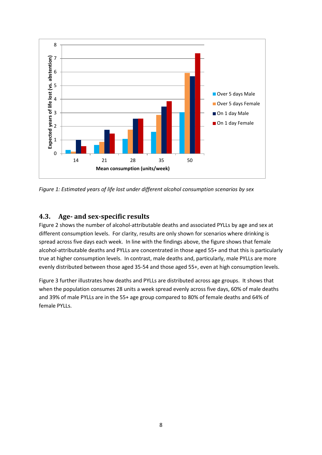

<span id="page-7-1"></span>*Figure 1: Estimated years of life lost under different alcohol consumption scenarios by sex*

### <span id="page-7-0"></span>**4.3. Age- and sex-specific results**

[Figure 2](#page-8-0) shows the number of alcohol-attributable deaths and associated PYLLs by age and sex at different consumption levels. For clarity, results are only shown for scenarios where drinking is spread across five days each week. In line with the findings above, the figure shows that female alcohol-attributable deaths and PYLLs are concentrated in those aged 55+ and that this is particularly true at higher consumption levels. In contrast, male deaths and, particularly, male PYLLs are more evenly distributed between those aged 35-54 and those aged 55+, even at high consumption levels.

[Figure 3](#page-8-1) further illustrates how deaths and PYLLs are distributed across age groups. It shows that when the population consumes 28 units a week spread evenly across five days, 60% of male deaths and 39% of male PYLLs are in the 55+ age group compared to 80% of female deaths and 64% of female PYLLs.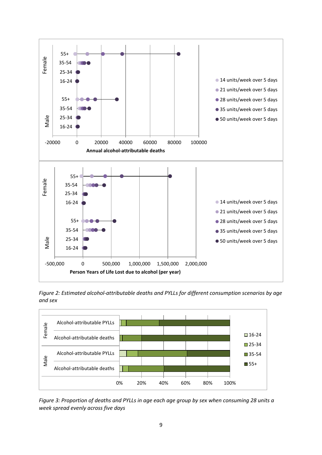

<span id="page-8-0"></span>*Figure 2: Estimated alcohol-attributable deaths and PYLLs for different consumption scenarios by age and sex*



<span id="page-8-1"></span>*Figure 3: Proportion of deaths and PYLLs in age each age group by sex when consuming 28 units a week spread evenly across five days*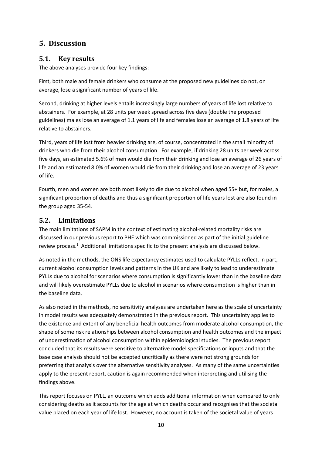### <span id="page-9-0"></span>**5. Discussion**

#### <span id="page-9-1"></span>**5.1. Key results**

The above analyses provide four key findings:

First, both male and female drinkers who consume at the proposed new guidelines do not, on average, lose a significant number of years of life.

Second, drinking at higher levels entails increasingly large numbers of years of life lost relative to abstainers. For example, at 28 units per week spread across five days (double the proposed guidelines) males lose an average of 1.1 years of life and females lose an average of 1.8 years of life relative to abstainers.

Third, years of life lost from heavier drinking are, of course, concentrated in the small minority of drinkers who die from their alcohol consumption. For example, if drinking 28 units per week across five days, an estimated 5.6% of men would die from their drinking and lose an average of 26 years of life and an estimated 8.0% of women would die from their drinking and lose an average of 23 years of life.

Fourth, men and women are both most likely to die due to alcohol when aged 55+ but, for males, a significant proportion of deaths and thus a significant proportion of life years lost are also found in the group aged 35-54.

### <span id="page-9-2"></span>**5.2. Limitations**

The main limitations of SAPM in the context of estimating alcohol-related mortality risks are discussed in our previous report to PHE which was commissioned as part of the initial guideline review process.<sup>1</sup> Additional limitations specific to the present analysis are discussed below.

As noted in the methods, the ONS life expectancy estimates used to calculate PYLLs reflect, in part, current alcohol consumption levels and patterns in the UK and are likely to lead to underestimate PYLLs due to alcohol for scenarios where consumption is significantly lower than in the baseline data and will likely overestimate PYLLs due to alcohol in scenarios where consumption is higher than in the baseline data.

As also noted in the methods, no sensitivity analyses are undertaken here as the scale of uncertainty in model results was adequately demonstrated in the previous report. This uncertainty applies to the existence and extent of any beneficial health outcomes from moderate alcohol consumption, the shape of some risk relationships between alcohol consumption and health outcomes and the impact of underestimation of alcohol consumption within epidemiological studies. The previous report concluded that its results were sensitive to alternative model specifications or inputs and that the base case analysis should not be accepted uncritically as there were not strong grounds for preferring that analysis over the alternative sensitivity analyses. As many of the same uncertainties apply to the present report, caution is again recommended when interpreting and utilising the findings above.

This report focuses on PYLL, an outcome which adds additional information when compared to only considering deaths as it accounts for the age at which deaths occur and recognises that the societal value placed on each year of life lost. However, no account is taken of the societal value of years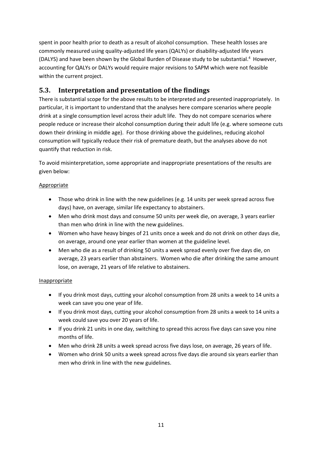spent in poor health prior to death as a result of alcohol consumption. These health losses are commonly measured using quality-adjusted life years (QALYs) or disability-adjusted life years (DALYS) and have been shown by the Global Burden of Disease study to be substantial. <sup>4</sup> However, accounting for QALYs or DALYs would require major revisions to SAPM which were not feasible within the current project.

### <span id="page-10-0"></span>**5.3. Interpretation and presentation of the findings**

There is substantial scope for the above results to be interpreted and presented inappropriately. In particular, it is important to understand that the analyses here compare scenarios where people drink at a single consumption level across their adult life. They do not compare scenarios where people reduce or increase their alcohol consumption during their adult life (e.g. where someone cuts down their drinking in middle age). For those drinking above the guidelines, reducing alcohol consumption will typically reduce their risk of premature death, but the analyses above do not quantify that reduction in risk.

To avoid misinterpretation, some appropriate and inappropriate presentations of the results are given below:

#### Appropriate

- Those who drink in line with the new guidelines (e.g. 14 units per week spread across five days) have, on average, similar life expectancy to abstainers.
- Men who drink most days and consume 50 units per week die, on average, 3 years earlier than men who drink in line with the new guidelines.
- Women who have heavy binges of 21 units once a week and do not drink on other days die, on average, around one year earlier than women at the guideline level.
- Men who die as a result of drinking 50 units a week spread evenly over five days die, on average, 23 years earlier than abstainers. Women who die after drinking the same amount lose, on average, 21 years of life relative to abstainers.

#### **Inappropriate**

- If you drink most days, cutting your alcohol consumption from 28 units a week to 14 units a week can save you one year of life.
- If you drink most days, cutting your alcohol consumption from 28 units a week to 14 units a week could save you over 20 years of life.
- If you drink 21 units in one day, switching to spread this across five days can save you nine months of life.
- Men who drink 28 units a week spread across five days lose, on average, 26 years of life.
- Women who drink 50 units a week spread across five days die around six years earlier than men who drink in line with the new guidelines.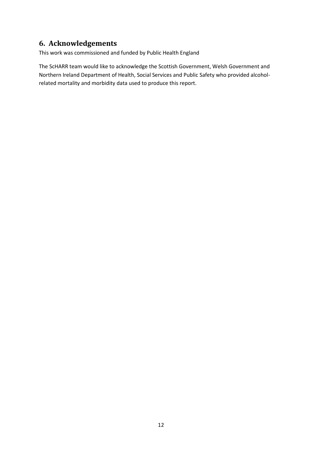### <span id="page-11-0"></span>**6. Acknowledgements**

This work was commissioned and funded by Public Health England

The ScHARR team would like to acknowledge the Scottish Government, Welsh Government and Northern Ireland Department of Health, Social Services and Public Safety who provided alcoholrelated mortality and morbidity data used to produce this report.